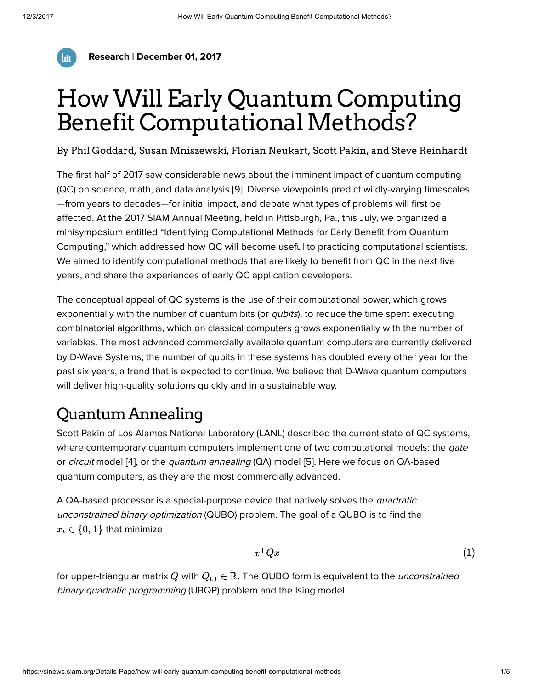

Research | December 01, 2017

# HowWill Early QuantumComputing Benefit Computational Methods?

By [Phil Goddard](https://sinews.siam.org/About-the-Author/phil-goddard), [Susan Mniszewski](https://sinews.siam.org/About-the-Author/susan-mniszewski), [Florian Neukart,](https://sinews.siam.org/About-the-Author/florian-neukart) [Scott Pakin](https://sinews.siam.org/About-the-Author/scott-pakin), and [Steve Reinhardt](https://sinews.siam.org/About-the-Author/steve-reinhardt)

The first half of 2017 saw considerable news about the imminent impact of quantum computing (QC) on science, math, and data analysis [9]. Diverse viewpoints predict wildly-varying timescales —from years to decades—for initial impact, and debate what types of problems will first be affected. At the 2017 SIAM [Annual Meeting](http://www.siam.org/meetings/an17/), held in Pittsburgh, Pa., this July, we organized a minisymposium entitled "Identifying [Computational Methods](http://meetings.siam.org/sess/dsp_programsess.cfm?SESSIONCODE=62503) for Early Benefit from Quantum Computing," which addressed how QC will become useful to practicing computational scientists. We aimed to identify computational methods that are likely to benefit from QC in the next five years, and share the experiences of early QC application developers.

The conceptual appeal of QC systems is the use of their computational power, which grows exponentially with the number of quantum bits (or *qubits*), to reduce the time spent executing combinatorial algorithms, which on classical computers grows exponentially with the number of variables. The most advanced commercially available quantum computers are currently delivered by D-Wave Systems; the number of qubits in these systems has doubled every other year for the past six years, a trend that is expected to continue. We believe that D-Wave quantum computers will deliver high-quality solutions quickly and in a sustainable way.

## QuantumAnnealing

Scott Pakin of Los Alamos National Laboratory (LANL) described the current state of QC systems, where contemporary quantum computers implement one of two computational models: the *gate* or circuit model [4], or the quantum annealing (QA) model [5]. Here we focus on QA-based quantum computers, as they are the most commercially advanced.

A QA-based processor is a special-purpose device that natively solves the *quadratic* unconstrained binary optimization (QUBO) problem. The goal of a QUBO is to find the  $x_i \in \{0,1\}$  that minimize

$$
x^{\mathsf{T}}Qx \tag{1}
$$

for upper-triangular matrix  $Q$  with  $Q_{i,j} \in \mathbb{R}$ . The QUBO form is equivalent to the *unconstrained* binary quadratic programming (UBQP) problem and the Ising model.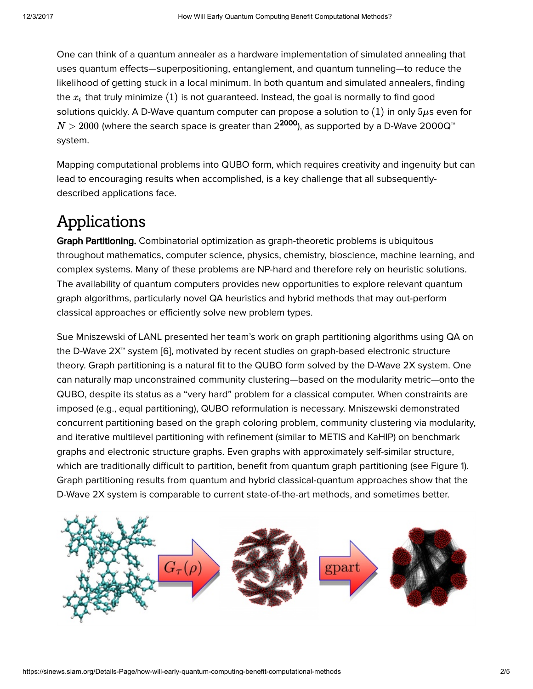One can think of a quantum annealer as a hardware implementation of simulated annealing that uses quantum effects—superpositioning, entanglement, and quantum tunneling—to reduce the likelihood of getting stuck in a local minimum. In both quantum and simulated annealers, finding the  $x_i$  that truly minimize  $(1)$  is not guaranteed. Instead, the goal is normally to find good solutions quickly. A D-Wave quantum computer can propose a solution to  $(1)$  in only  $5\mu$ s even for  $N>2000$  (where the search space is greater than 2 $^{\textbf{2000}}$ ), as supported by a D-Wave 2000Q™ system.

Mapping computational problems into QUBO form, which requires creativity and ingenuity but can lead to encouraging results when accomplished, is a key challenge that all subsequentlydescribed applications face.

### Applications

Graph Partitioning. Combinatorial optimization as graph-theoretic problems is ubiquitous throughout mathematics, computer science, physics, chemistry, bioscience, machine learning, and complex systems. Many of these problems are NP-hard and therefore rely on heuristic solutions. The availability of quantum computers provides new opportunities to explore relevant quantum graph algorithms, particularly novel QA heuristics and hybrid methods that may out-perform classical approaches or efficiently solve new problem types.

Sue Mniszewski of LANL presented her team's work on graph partitioning algorithms using QA on the D-Wave 2X™ system [6], motivated by recent studies on graph-based electronic structure theory. Graph partitioning is a natural fit to the QUBO form solved by the D-Wave 2X system. One can naturally map unconstrained community clustering—based on the modularity metric—onto the QUBO, despite its status as a "very hard" problem for a classical computer. When constraints are imposed (e.g., equal partitioning), QUBO reformulation is necessary. Mniszewski demonstrated concurrent partitioning based on the graph coloring problem, community clustering via modularity, and iterative multilevel partitioning with refinement (similar to METIS and KaHIP) on benchmark graphs and electronic structure graphs. Even graphs with approximately self-similar structure, which are traditionally difficult to partition, benefit from quantum graph partitioning (see Figure 1). Graph partitioning results from quantum and hybrid classical-quantum approaches show that the D-Wave 2X system is comparable to current state-of-the-art methods, and sometimes better.

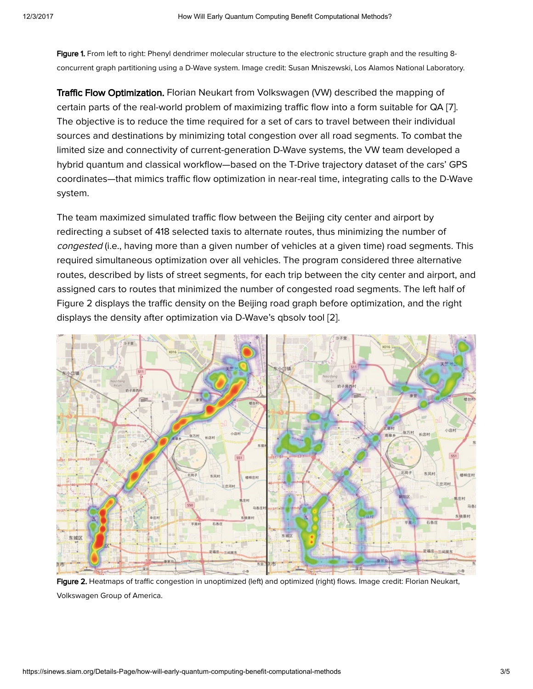Figure 1. From left to right: Phenyl dendrimer molecular structure to the electronic structure graph and the resulting 8concurrent graph partitioning using a D-Wave system. Image credit: Susan Mniszewski, Los Alamos National Laboratory.

**Traffic Flow Optimization.** Florian Neukart from Volkswagen (VW) described the mapping of certain parts of the real-world problem of maximizing traffic flow into a form suitable for QA [7]. The objective is to reduce the time required for a set of cars to travel between their individual sources and destinations by minimizing total congestion over all road segments. To combat the limited size and connectivity of current-generation D-Wave systems, the VW team developed a hybrid quantum and classical workflow—based on the T-Drive trajectory dataset of the cars' GPS coordinates—that mimics traffic flow optimization in near-real time, integrating calls to the D-Wave system.

The team maximized simulated traffic flow between the Beijing city center and airport by redirecting a subset of 418 selected taxis to alternate routes, thus minimizing the number of congested (i.e., having more than a given number of vehicles at a given time) road segments. This required simultaneous optimization over all vehicles. The program considered three alternative routes, described by lists of street segments, for each trip between the city center and airport, and assigned cars to routes that minimized the number of congested road segments. The left half of Figure 2 displays the traffic density on the Beijing road graph before optimization, and the right displays the density after optimization via D-Wave's qbsolv tool [2].



Figure 2. Heatmaps of traffic congestion in unoptimized (left) and optimized (right) flows. Image credit: Florian Neukart, Volkswagen Group of America.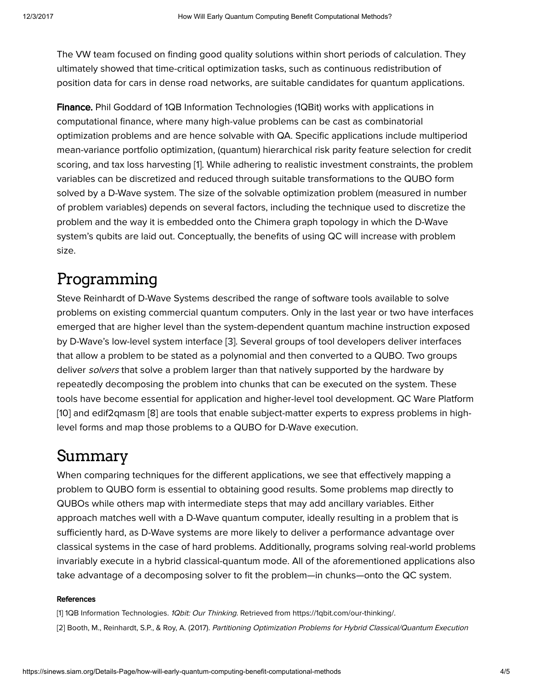The VW team focused on finding good quality solutions within short periods of calculation. They ultimately showed that time-critical optimization tasks, such as continuous redistribution of position data for cars in dense road networks, are suitable candidates for quantum applications.

Finance. Phil Goddard of 1QB Information Technologies (1QBit) works with applications in computational finance, where many high-value problems can be cast as combinatorial optimization problems and are hence solvable with QA. Specific applications include multiperiod mean-variance portfolio optimization, (quantum) hierarchical risk parity feature selection for credit scoring, and tax loss harvesting [1]. While adhering to realistic investment constraints, the problem variables can be discretized and reduced through suitable transformations to the QUBO form solved by a D-Wave system. The size of the solvable optimization problem (measured in number of problem variables) depends on several factors, including the technique used to discretize the problem and the way it is embedded onto the Chimera graph topology in which the D-Wave system's qubits are laid out. Conceptually, the benefits of using QC will increase with problem size.

#### Programming

Steve Reinhardt of D-Wave Systems described the range of software tools available to solve problems on existing commercial quantum computers. Only in the last year or two have interfaces emerged that are higher level than the system-dependent quantum machine instruction exposed by D-Wave's low-level system interface [3]. Several groups of tool developers deliver interfaces that allow a problem to be stated as a polynomial and then converted to a QUBO. Two groups deliver solvers that solve a problem larger than that natively supported by the hardware by repeatedly decomposing the problem into chunks that can be executed on the system. These tools have become essential for application and higher-level tool development. QC Ware Platform [10] and edif2qmasm [8] are tools that enable subject-matter experts to express problems in highlevel forms and map those problems to a QUBO for D-Wave execution.

#### Summary

When comparing techniques for the different applications, we see that effectively mapping a problem to QUBO form is essential to obtaining good results. Some problems map directly to QUBOs while others map with intermediate steps that may add ancillary variables. Either approach matches well with a D-Wave quantum computer, ideally resulting in a problem that is sufficiently hard, as D-Wave systems are more likely to deliver a performance advantage over classical systems in the case of hard problems. Additionally, programs solving real-world problems invariably execute in a hybrid classical-quantum mode. All of the aforementioned applications also take advantage of a decomposing solver to fit the problem—in chunks—onto the QC system.

#### **References**

[1] 1QB Information Technologies. 1Qbit: Our Thinking. Retrieved from [https://1qbit.com/our-thinking/.](https://1qbit.com/our-thinking/) [2] Booth, M., Reinhardt, S.P., & Roy, A. (2017). Partitioning Optimization Problems for Hybrid Classical/Quantum Execution